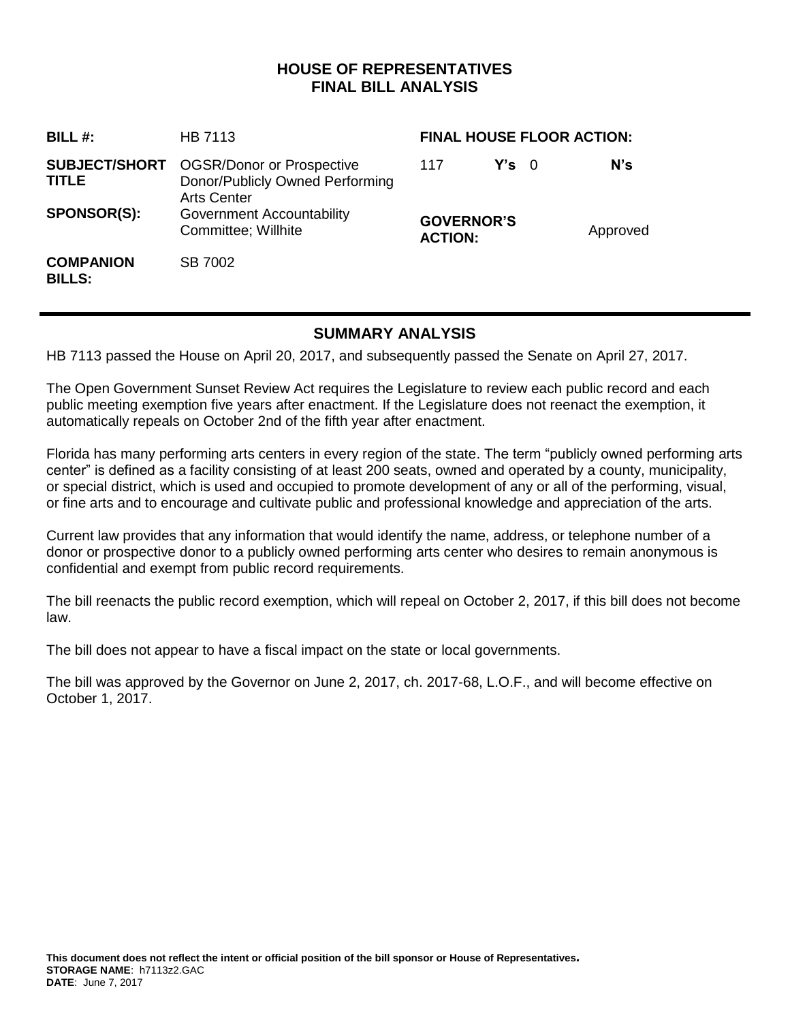## **HOUSE OF REPRESENTATIVES FINAL BILL ANALYSIS**

| BILL#:                               | <b>HB 7113</b>                                                                            | <b>FINAL HOUSE FLOOR ACTION:</b>    |               |  |          |
|--------------------------------------|-------------------------------------------------------------------------------------------|-------------------------------------|---------------|--|----------|
| <b>SUBJECT/SHORT</b><br><b>TITLE</b> | <b>OGSR/Donor or Prospective</b><br>Donor/Publicly Owned Performing<br><b>Arts Center</b> | 117                                 | $Y's \quad 0$ |  | N's      |
| <b>SPONSOR(S):</b>                   | Government Accountability<br>Committee; Willhite                                          | <b>GOVERNOR'S</b><br><b>ACTION:</b> |               |  | Approved |
| <b>COMPANION</b><br><b>BILLS:</b>    | SB 7002                                                                                   |                                     |               |  |          |

# **SUMMARY ANALYSIS**

HB 7113 passed the House on April 20, 2017, and subsequently passed the Senate on April 27, 2017.

The Open Government Sunset Review Act requires the Legislature to review each public record and each public meeting exemption five years after enactment. If the Legislature does not reenact the exemption, it automatically repeals on October 2nd of the fifth year after enactment.

Florida has many performing arts centers in every region of the state. The term "publicly owned performing arts center" is defined as a facility consisting of at least 200 seats, owned and operated by a county, municipality, or special district, which is used and occupied to promote development of any or all of the performing, visual, or fine arts and to encourage and cultivate public and professional knowledge and appreciation of the arts.

Current law provides that any information that would identify the name, address, or telephone number of a donor or prospective donor to a publicly owned performing arts center who desires to remain anonymous is confidential and exempt from public record requirements.

The bill reenacts the public record exemption, which will repeal on October 2, 2017, if this bill does not become law.

The bill does not appear to have a fiscal impact on the state or local governments.

The bill was approved by the Governor on June 2, 2017, ch. 2017-68, L.O.F., and will become effective on October 1, 2017.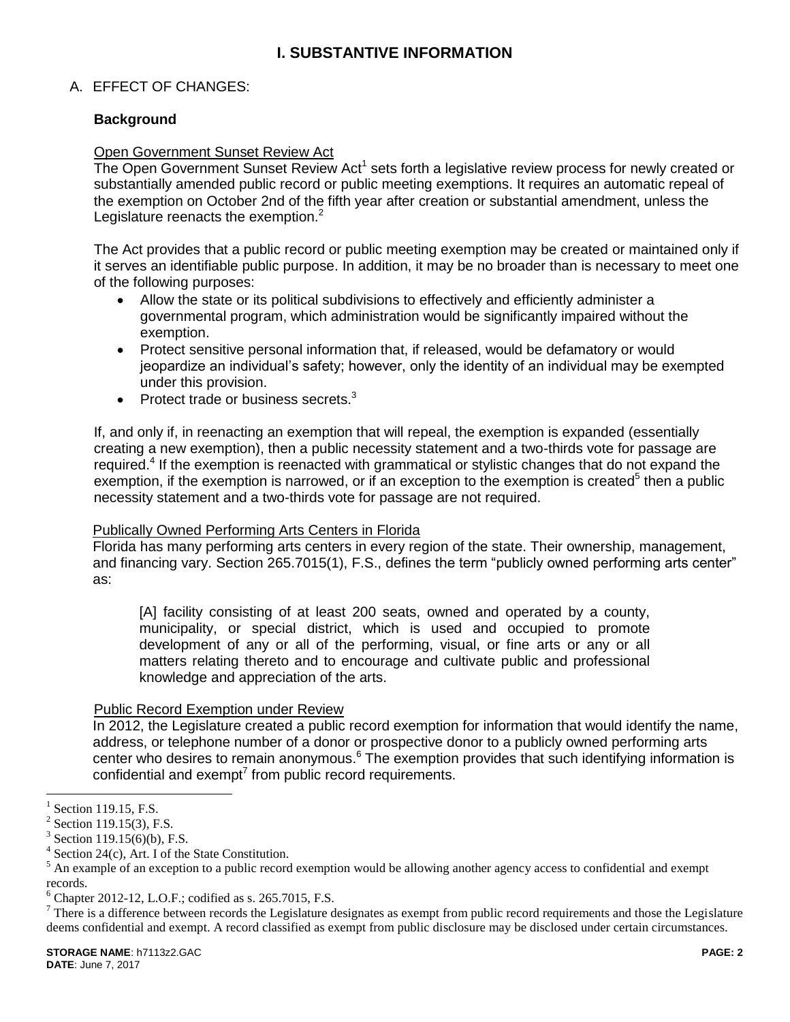## **I. SUBSTANTIVE INFORMATION**

### A. EFFECT OF CHANGES:

### **Background**

#### Open Government Sunset Review Act

The Open Government Sunset Review Act<sup>1</sup> sets forth a legislative review process for newly created or substantially amended public record or public meeting exemptions. It requires an automatic repeal of the exemption on October 2nd of the fifth year after creation or substantial amendment, unless the Legislature reenacts the exemption. $2$ 

The Act provides that a public record or public meeting exemption may be created or maintained only if it serves an identifiable public purpose. In addition, it may be no broader than is necessary to meet one of the following purposes:

- Allow the state or its political subdivisions to effectively and efficiently administer a governmental program, which administration would be significantly impaired without the exemption.
- Protect sensitive personal information that, if released, would be defamatory or would jeopardize an individual's safety; however, only the identity of an individual may be exempted under this provision.
- $\bullet$  Protect trade or business secrets. $3$

If, and only if, in reenacting an exemption that will repeal, the exemption is expanded (essentially creating a new exemption), then a public necessity statement and a two-thirds vote for passage are required.<sup>4</sup> If the exemption is reenacted with grammatical or stylistic changes that do not expand the exemption, if the exemption is narrowed, or if an exception to the exemption is created<sup>5</sup> then a public necessity statement and a two-thirds vote for passage are not required.

#### Publically Owned Performing Arts Centers in Florida

Florida has many performing arts centers in every region of the state. Their ownership, management, and financing vary. Section 265.7015(1), F.S., defines the term "publicly owned performing arts center" as:

[A] facility consisting of at least 200 seats, owned and operated by a county, municipality, or special district, which is used and occupied to promote development of any or all of the performing, visual, or fine arts or any or all matters relating thereto and to encourage and cultivate public and professional knowledge and appreciation of the arts.

#### Public Record Exemption under Review

In 2012, the Legislature created a public record exemption for information that would identify the name, address, or telephone number of a donor or prospective donor to a publicly owned performing arts center who desires to remain anonymous.<sup>6</sup> The exemption provides that such identifying information is confidential and exempt<sup>7</sup> from public record requirements.

 $\overline{a}$ 

<sup>1</sup> Section 119.15, F.S.

 $2$  Section 119.15(3), F.S.

<sup>3</sup> Section 119.15(6)(b), F.S.

<sup>&</sup>lt;sup>4</sup> Section 24(c), Art. I of the State Constitution.

 $<sup>5</sup>$  An example of an exception to a public record exemption would be allowing another agency access to confidential and exempt</sup> records.

 $6$  Chapter 2012-12, L.O.F.; codified as s. 265.7015, F.S.

 $7$  There is a difference between records the Legislature designates as exempt from public record requirements and those the Legislature deems confidential and exempt. A record classified as exempt from public disclosure may be disclosed under certain circumstances.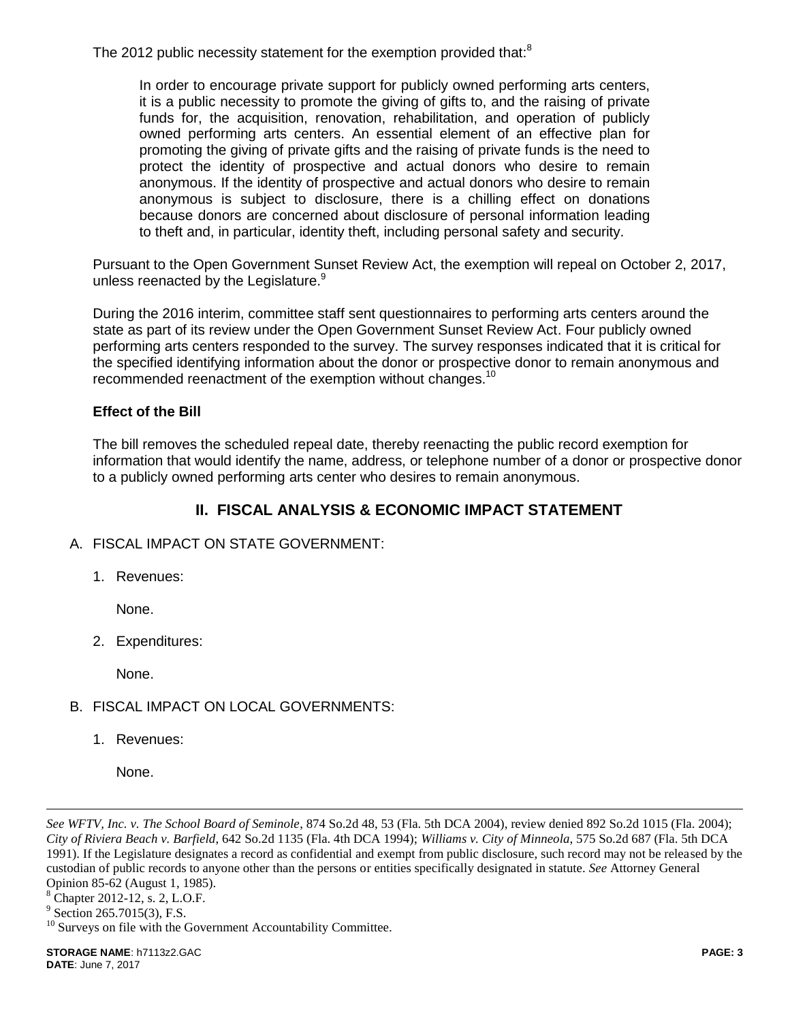The 2012 public necessity statement for the exemption provided that:<sup>8</sup>

In order to encourage private support for publicly owned performing arts centers, it is a public necessity to promote the giving of gifts to, and the raising of private funds for, the acquisition, renovation, rehabilitation, and operation of publicly owned performing arts centers. An essential element of an effective plan for promoting the giving of private gifts and the raising of private funds is the need to protect the identity of prospective and actual donors who desire to remain anonymous. If the identity of prospective and actual donors who desire to remain anonymous is subject to disclosure, there is a chilling effect on donations because donors are concerned about disclosure of personal information leading to theft and, in particular, identity theft, including personal safety and security.

Pursuant to the Open Government Sunset Review Act, the exemption will repeal on October 2, 2017, unless reenacted by the Legislature.<sup>9</sup>

During the 2016 interim, committee staff sent questionnaires to performing arts centers around the state as part of its review under the Open Government Sunset Review Act. Four publicly owned performing arts centers responded to the survey. The survey responses indicated that it is critical for the specified identifying information about the donor or prospective donor to remain anonymous and recommended reenactment of the exemption without changes.<sup>10</sup>

### **Effect of the Bill**

The bill removes the scheduled repeal date, thereby reenacting the public record exemption for information that would identify the name, address, or telephone number of a donor or prospective donor to a publicly owned performing arts center who desires to remain anonymous.

## **II. FISCAL ANALYSIS & ECONOMIC IMPACT STATEMENT**

- A. FISCAL IMPACT ON STATE GOVERNMENT:
	- 1. Revenues:

None.

2. Expenditures:

None.

- B. FISCAL IMPACT ON LOCAL GOVERNMENTS:
	- 1. Revenues:

*See WFTV, Inc. v. The School Board of Seminole*, 874 So.2d 48, 53 (Fla. 5th DCA 2004), review denied 892 So.2d 1015 (Fla. 2004); *City of Riviera Beach v. Barfield*, 642 So.2d 1135 (Fla. 4th DCA 1994); *Williams v. City of Minneola*, 575 So.2d 687 (Fla. 5th DCA 1991). If the Legislature designates a record as confidential and exempt from public disclosure, such record may not be released by the custodian of public records to anyone other than the persons or entities specifically designated in statute. *See* Attorney General Opinion 85-62 (August 1, 1985).

<sup>8</sup> Chapter 2012-12, s. 2, L.O.F.

 $\overline{a}$ 

None.

<sup>&</sup>lt;sup>9</sup> Section 265.7015(3), F.S.

 $10$  Surveys on file with the Government Accountability Committee.